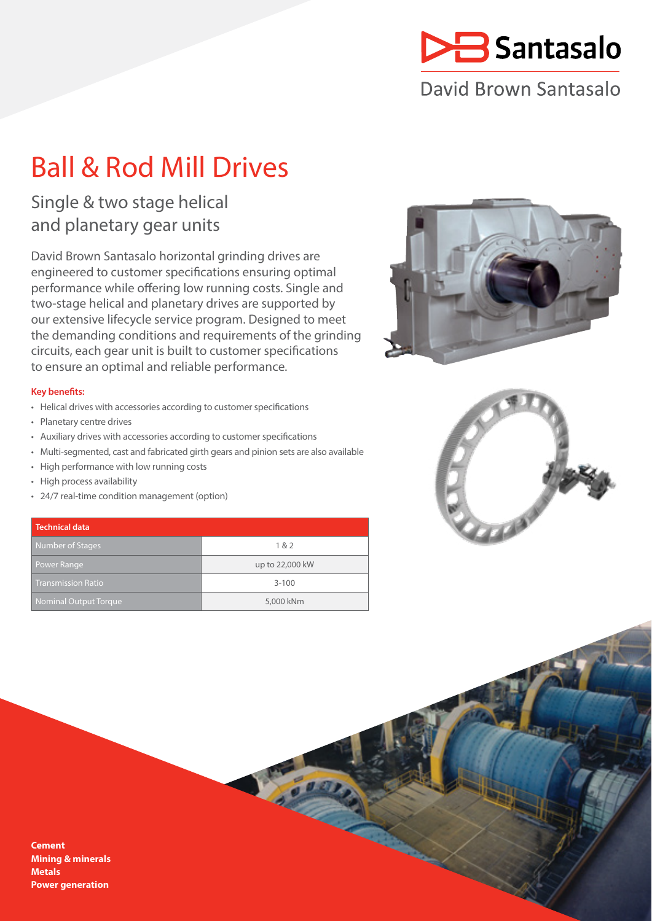

## David Brown Santasalo

# Ball & Rod Mill Drives

### Single & two stage helical and planetary gear units

David Brown Santasalo horizontal grinding drives are engineered to customer specifications ensuring optimal performance while offering low running costs. Single and two-stage helical and planetary drives are supported by our extensive lifecycle service program. Designed to meet the demanding conditions and requirements of the grinding circuits, each gear unit is built to customer specifications to ensure an optimal and reliable performance.

### **Key benefits:**

- Helical drives with accessories according to customer specifications
- Planetary centre drives
- Auxiliary drives with accessories according to customer specifications
- Multi-segmented, cast and fabricated girth gears and pinion sets are also available
- High performance with low running costs
- High process availability
- 24/7 real-time condition management (option)

### **Technical data** Number of Stages 1 & 2 Power Range up to 22,000 kW Transmission Ratio 3-100 Nominal Output Torque 5,000 kNm





#### **Cement Mining & minerals Metals Power generation**